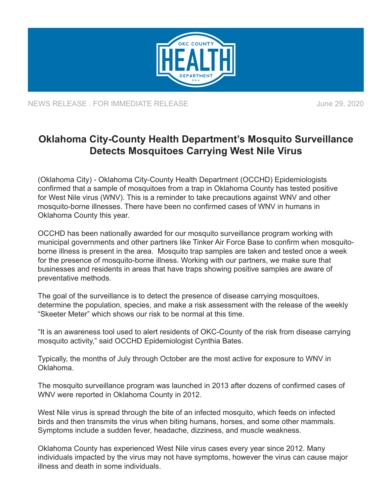

NEWS RELEASE . FOR IMMEDIATE RELEASE **June 29, 2020** 

## **Oklahoma City-County Health Department's Mosquito Surveillance Detects Mosquitoes Carrying West Nile Virus**

(Oklahoma City) - Oklahoma City-County Health Department (OCCHD) Epidemiologists confirmed that a sample of mosquitoes from a trap in Oklahoma County has tested positive for West Nile virus (WNV). This is a reminder to take precautions against WNV and other mosquito-borne illnesses. There have been no confirmed cases of WNV in humans in Oklahoma County this year.

OCCHD has been nationally awarded for our mosquito surveillance program working with municipal governments and other partners like Tinker Air Force Base to confirm when mosquitoborne illness is present in the area. Mosquito trap samples are taken and tested once a week for the presence of mosquito-borne illness. Working with our partners, we make sure that businesses and residents in areas that have traps showing positive samples are aware of preventative methods.

The goal of the surveillance is to detect the presence of disease carrying mosquitoes, determine the population, species, and make a risk assessment with the release of the weekly "Skeeter Meter" which shows our risk to be normal at this time.

"It is an awareness tool used to alert residents of OKC-County of the risk from disease carrying mosquito activity," said OCCHD Epidemiologist Cynthia Bates.

Typically, the months of July through October are the most active for exposure to WNV in Oklahoma.

The mosquito surveillance program was launched in 2013 after dozens of confirmed cases of WNV were reported in Oklahoma County in 2012.

West Nile virus is spread through the bite of an infected mosquito, which feeds on infected birds and then transmits the virus when biting humans, horses, and some other mammals. Symptoms include a sudden fever, headache, dizziness, and muscle weakness.

Oklahoma County has experienced West Nile virus cases every year since 2012. Many individuals impacted by the virus may not have symptoms, however the virus can cause major illness and death in some individuals.